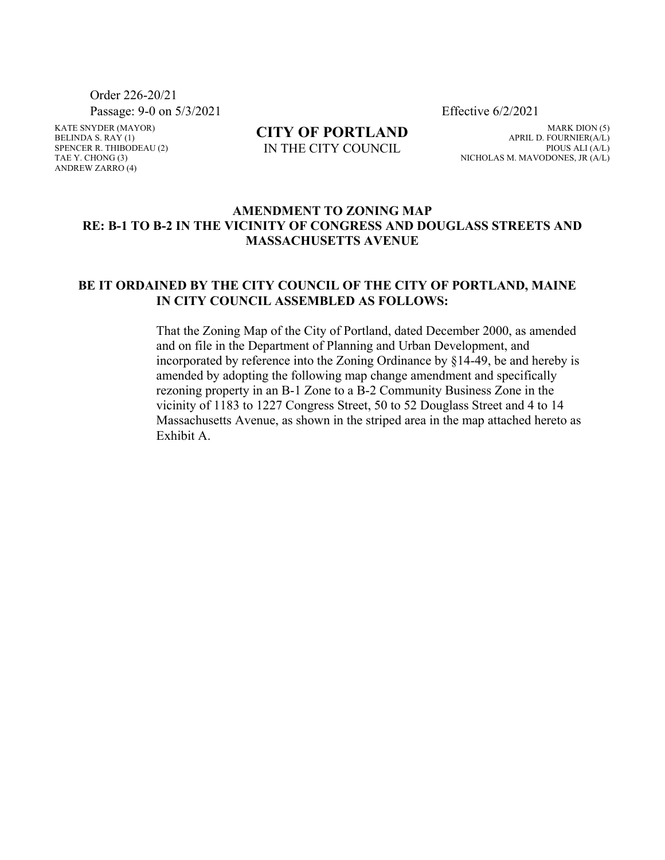Order 226-20/21

KATE SNYDER (MAYOR) BELINDA S.  $RAY(1)$ SPENCER R. THIBODEAU (2) TAE Y. CHONG (3) ANDREW ZARRO (4)

**CITY OF PORTLAND** IN THE CITY COUNCIL

Passage: 9-0 on 5/3/2021 Effective 6/2/2021

MARK DION (5) APRIL D. FOURNIER(A/L) PIOUS ALI (A/L) NICHOLAS M. MAVODONES, JR (A/L)

## **AMENDMENT TO ZONING MAP RE: B-1 TO B-2 IN THE VICINITY OF CONGRESS AND DOUGLASS STREETS AND MASSACHUSETTS AVENUE**

## **BE IT ORDAINED BY THE CITY COUNCIL OF THE CITY OF PORTLAND, MAINE IN CITY COUNCIL ASSEMBLED AS FOLLOWS:**

That the Zoning Map of the City of Portland, dated December 2000, as amended and on file in the Department of Planning and Urban Development, and incorporated by reference into the Zoning Ordinance by §14-49, be and hereby is amended by adopting the following map change amendment and specifically rezoning property in an B-1 Zone to a B-2 Community Business Zone in the vicinity of 1183 to 1227 Congress Street, 50 to 52 Douglass Street and 4 to 14 Massachusetts Avenue, as shown in the striped area in the map attached hereto as Exhibit A.